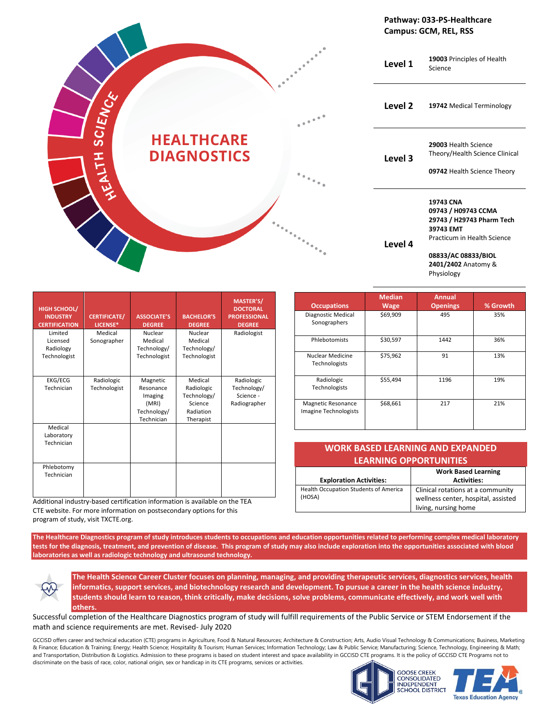|         |                                         |                                                                                                                                        | Pathway: 033-PS-Healthcare<br>Campus: GCM, REL, RSS                                                                                                                   |
|---------|-----------------------------------------|----------------------------------------------------------------------------------------------------------------------------------------|-----------------------------------------------------------------------------------------------------------------------------------------------------------------------|
|         |                                         | Level 1                                                                                                                                | 19003 Principles of Health<br>Science                                                                                                                                 |
| SCIENCE |                                         | Level <sub>2</sub><br>$\begin{smallmatrix}&&&&&&\text{\bf \textcolor{blue}{0}}\\0&&&&&\text{\bf \textcolor{blue}{0}}\end{smallmatrix}$ | 19742 Medical Terminology                                                                                                                                             |
| HITH    | <b>HEALTHCARE</b><br><b>DIAGNOSTICS</b> | Level 3                                                                                                                                | 29003 Health Science<br>Theory/Health Science Clinical<br>09742 Health Science Theory                                                                                 |
|         |                                         | Level 4                                                                                                                                | 19743 CNA<br>09743 / H09743 CCMA<br>29743 / H29743 Pharm Tech<br>39743 EMT<br>Practicum in Health Science<br>08833/AC 08833/BIOL<br>2401/2402 Anatomy &<br>Physiology |

| <b>HIGH SCHOOL/</b><br><b>INDUSTRY</b><br><b>CERTIFICATION</b> | <b>CERTIFICATE/</b><br>LICENSE* | <b>ASSOCIATE'S</b><br><b>DEGREE</b>                                    | <b>BACHELOR'S</b><br><b>DEGREE</b>                                        | MASTER'S/<br><b>DOCTORAL</b><br><b>PROFESSIONAL</b><br><b>DEGREE</b> |
|----------------------------------------------------------------|---------------------------------|------------------------------------------------------------------------|---------------------------------------------------------------------------|----------------------------------------------------------------------|
| Limited<br>Licensed<br>Radiology<br>Technologist               | Medical<br>Sonographer          | Nuclear<br>Medical<br>Technology/<br>Technologist                      | Nuclear<br>Medical<br>Technology/<br>Technologist                         | Radiologist                                                          |
|                                                                |                                 |                                                                        |                                                                           |                                                                      |
| EKG/ECG<br>Technician                                          | Radiologic<br>Technologist      | Magnetic<br>Resonance<br>Imaging<br>(MRI)<br>Technology/<br>Technician | Medical<br>Radiologic<br>Technology/<br>Science<br>Radiation<br>Therapist | Radiologic<br>Technology/<br>Science -<br>Radiographer               |
| Medical<br>Laboratory<br>Technician                            |                                 |                                                                        |                                                                           |                                                                      |
| Phlebotomy<br>Technician                                       |                                 |                                                                        |                                                                           |                                                                      |

Additional industry-based certification information is available on the TEA CTE website. For more information on postsecondary options for this program of study, visit TXCTE.org.

| <b>Occupations</b>                          | <b>Median</b><br><b>Wage</b> | <b>Annual</b><br><b>Openings</b> | % Growth |
|---------------------------------------------|------------------------------|----------------------------------|----------|
| Diagnostic Medical<br>Sonographers          | \$69,909                     | 495                              | 35%      |
| Phlebotomists                               | \$30,597                     | 1442                             | 36%      |
| Nuclear Medicine<br>Technologists           | \$75,962                     | 91                               | 13%      |
| Radiologic<br>Technologists                 | \$55,494                     | 1196                             | 19%      |
| Magnetic Resonance<br>Imagine Technologists | \$68,661                     | 217                              | 21%      |

| <b>WORK BASED LEARNING AND EXPANDED</b><br><b>LEARNING OPPORTUNITIES</b> |                                                                                                  |  |
|--------------------------------------------------------------------------|--------------------------------------------------------------------------------------------------|--|
| <b>Exploration Activities:</b>                                           | <b>Work Based Learning</b><br><b>Activities:</b>                                                 |  |
| Health Occupation Students of America<br>(HOSA)                          | Clinical rotations at a community<br>wellness center, hospital, assisted<br>living, nursing home |  |

**The Healthcare Diagnostics program of study introduces students to occupations and education opportunities related to performing complex medical laboratory tests for the diagnosis, treatment, and prevention of disease. This program of study may also include exploration into the opportunities associated with blood laboratories as well as radiologic technology and ultrasound technology.**



**The Health Science Career Cluster focuses on planning, managing, and providing therapeutic services, diagnostics services, health informatics, support services, and biotechnology research and development. To pursue a career in the health science industry, students should learn to reason, think critically, make decisions, solve problems, communicate effectively, and work well with others.**

Successful completion of the Healthcare Diagnostics program of study will fulfill requirements of the Public Service or STEM Endorsement if the math and science requirements are met. Revised- July 2020



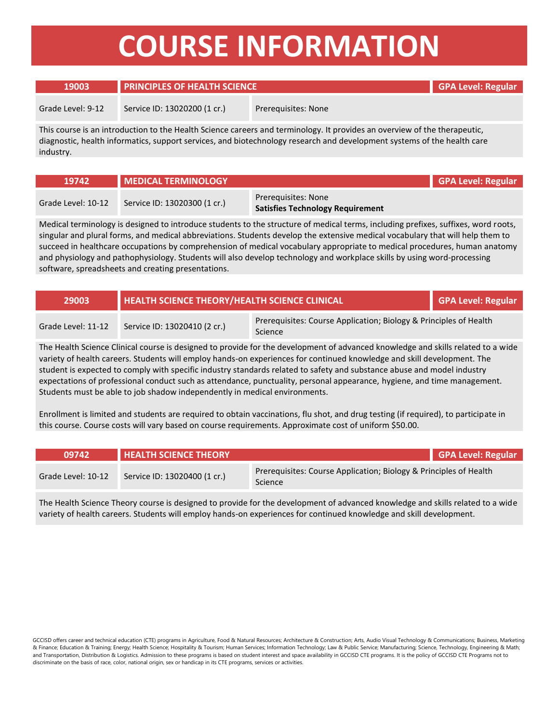# **COURSE INFORMATION**

### **19003 PRINCIPLES OF HEALTH SCIENCE GPA Level: Regular**

Grade Level: 9-12 Service ID: 13020200 (1 cr.) Prerequisites: None

This course is an introduction to the Health Science careers and terminology. It provides an overview of the therapeutic, diagnostic, health informatics, support services, and biotechnology research and development systems of the health care industry.

| 19742              | <b>IMEDICAL TERMINOLOGY</b>  |                                                                | <b>GPA Level: Regular</b> |
|--------------------|------------------------------|----------------------------------------------------------------|---------------------------|
| Grade Level: 10-12 | Service ID: 13020300 (1 cr.) | Prerequisites: None<br><b>Satisfies Technology Requirement</b> |                           |

Medical terminology is designed to introduce students to the structure of medical terms, including prefixes, suffixes, word roots, singular and plural forms, and medical abbreviations. Students develop the extensive medical vocabulary that will help them to succeed in healthcare occupations by comprehension of medical vocabulary appropriate to medical procedures, human anatomy and physiology and pathophysiology. Students will also develop technology and workplace skills by using word-processing software, spreadsheets and creating presentations.

| <b>29003</b>       | HEALTH SCIENCE THEORY/HEALTH SCIENCE CLINICAL |                                                                                     | GPA Level: Regular |
|--------------------|-----------------------------------------------|-------------------------------------------------------------------------------------|--------------------|
| Grade Level: 11-12 | Service ID: 13020410 (2 cr.)                  | Prerequisites: Course Application; Biology & Principles of Health<br><b>Science</b> |                    |

The Health Science Clinical course is designed to provide for the development of advanced knowledge and skills related to a wide variety of health careers. Students will employ hands-on experiences for continued knowledge and skill development. The student is expected to comply with specific industry standards related to safety and substance abuse and model industry expectations of professional conduct such as attendance, punctuality, personal appearance, hygiene, and time management. Students must be able to job shadow independently in medical environments.

Enrollment is limited and students are required to obtain vaccinations, flu shot, and drug testing (if required), to participate in this course. Course costs will vary based on course requirements. Approximate cost of uniform \$50.00.

| 09742              | <b>HEALTH SCIENCE THEORY</b> |                                                                              | GPA Level: Regular |
|--------------------|------------------------------|------------------------------------------------------------------------------|--------------------|
| Grade Level: 10-12 | Service ID: 13020400 (1 cr.) | Prerequisites: Course Application; Biology & Principles of Health<br>Science |                    |

The Health Science Theory course is designed to provide for the development of advanced knowledge and skills related to a wide variety of health careers. Students will employ hands-on experiences for continued knowledge and skill development.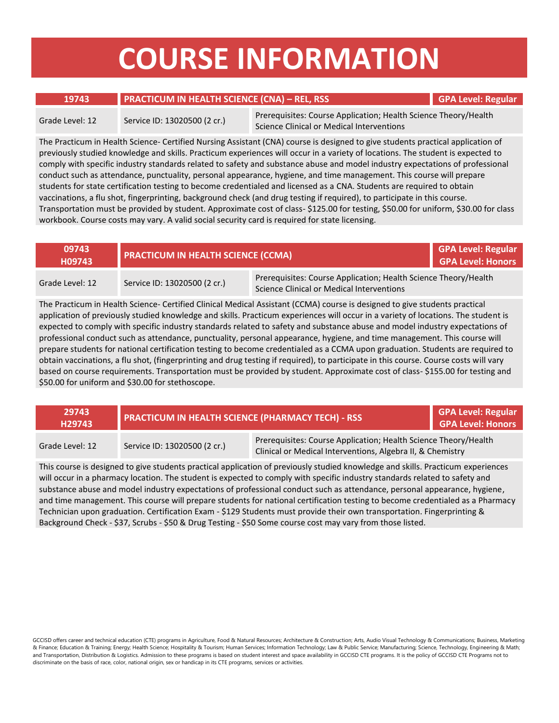# **COURSE INFORMATION**

### **19743 PRACTICUM IN HEALTH SCIENCE (CNA) – REL, RSS GPA Level: Regular**

Grade Level: 12 Service ID: 13020500 (2 cr.) Prerequisites: Course Application; Health Science Theory/Health Science Clinical or Medical Interventions

The Practicum in Health Science- Certified Nursing Assistant (CNA) course is designed to give students practical application of previously studied knowledge and skills. Practicum experiences will occur in a variety of locations. The student is expected to comply with specific industry standards related to safety and substance abuse and model industry expectations of professional conduct such as attendance, punctuality, personal appearance, hygiene, and time management. This course will prepare students for state certification testing to become credentialed and licensed as a CNA. Students are required to obtain vaccinations, a flu shot, fingerprinting, background check (and drug testing if required), to participate in this course. Transportation must be provided by student. Approximate cost of class- \$125.00 for testing, \$50.00 for uniform, \$30.00 for class workbook. Course costs may vary. A valid social security card is required for state licensing.

| 09743<br>H09743 | <b>PRACTICUM IN HEALTH SCIENCE (CCMA)</b> |                                                                                                              | <b>GPA Level: Regular</b><br><b>GPA Level: Honors</b> |
|-----------------|-------------------------------------------|--------------------------------------------------------------------------------------------------------------|-------------------------------------------------------|
| Grade Level: 12 | Service ID: 13020500 (2 cr.)              | Prerequisites: Course Application; Health Science Theory/Health<br>Science Clinical or Medical Interventions |                                                       |

The Practicum in Health Science- Certified Clinical Medical Assistant (CCMA) course is designed to give students practical application of previously studied knowledge and skills. Practicum experiences will occur in a variety of locations. The student is expected to comply with specific industry standards related to safety and substance abuse and model industry expectations of professional conduct such as attendance, punctuality, personal appearance, hygiene, and time management. This course will prepare students for national certification testing to become credentialed as a CCMA upon graduation. Students are required to obtain vaccinations, a flu shot, (fingerprinting and drug testing if required), to participate in this course. Course costs will vary based on course requirements. Transportation must be provided by student. Approximate cost of class- \$155.00 for testing and \$50.00 for uniform and \$30.00 for stethoscope.

| 29743<br>H29743 | <b>PRACTICUM IN HEALTH SCIENCE (PHARMACY TECH) - RSS</b> |                                                                                                                               | GPA Level: Regular<br><b>GPA Level: Honors</b> |
|-----------------|----------------------------------------------------------|-------------------------------------------------------------------------------------------------------------------------------|------------------------------------------------|
| Grade Level: 12 | Service ID: 13020500 (2 cr.)                             | Prerequisites: Course Application; Health Science Theory/Health<br>Clinical or Medical Interventions, Algebra II, & Chemistry |                                                |

This course is designed to give students practical application of previously studied knowledge and skills. Practicum experiences will occur in a pharmacy location. The student is expected to comply with specific industry standards related to safety and substance abuse and model industry expectations of professional conduct such as attendance, personal appearance, hygiene, and time management. This course will prepare students for national certification testing to become credentialed as a Pharmacy Technician upon graduation. Certification Exam - \$129 Students must provide their own transportation. Fingerprinting & Background Check - \$37, Scrubs - \$50 & Drug Testing - \$50 Some course cost may vary from those listed.